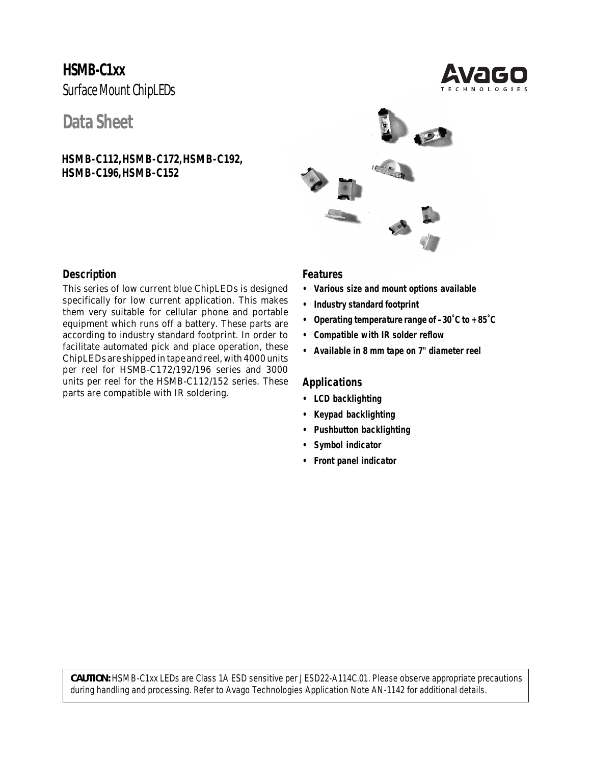# **HSMB-C1xx** Surface Mount ChipLEDs

## **Data Sheet**

**HSMB-C112, HSMB-C172, HSMB-C192, HSMB-C196, HSMB-C152**





### **Description**

This series of low current blue ChipLEDs is designed specifically for low current application. This makes them very suitable for cellular phone and portable equipment which runs off a battery. These parts are according to industry standard footprint. In order to facilitate automated pick and place operation, these ChipLEDs are shipped in tape and reel, with 4000 units per reel for HSMB-C172/192/196 series and 3000 units per reel for the HSMB-C112/152 series. These parts are compatible with IR soldering.

#### **Features**

- **• Various size and mount options available**
- **• Industry standard footprint**
- **• Operating temperature range of –30˚C to +85˚C**
- **• Compatible with IR solder reflow**
- **• Available in 8 mm tape on 7" diameter reel**

#### **Applications**

- **• LCD backlighting**
- **• Keypad backlighting**
- **• Pushbutton backlighting**
- **• Symbol indicator**
- **• Front panel indicator**

*CAUTION: HSMB-C1xx LEDs are Class 1A ESD sensitive per JESD22-A114C.01. Please observe appropriate precautions during handling and processing. Refer to Avago Technologies Application Note AN-1142 for additional details.*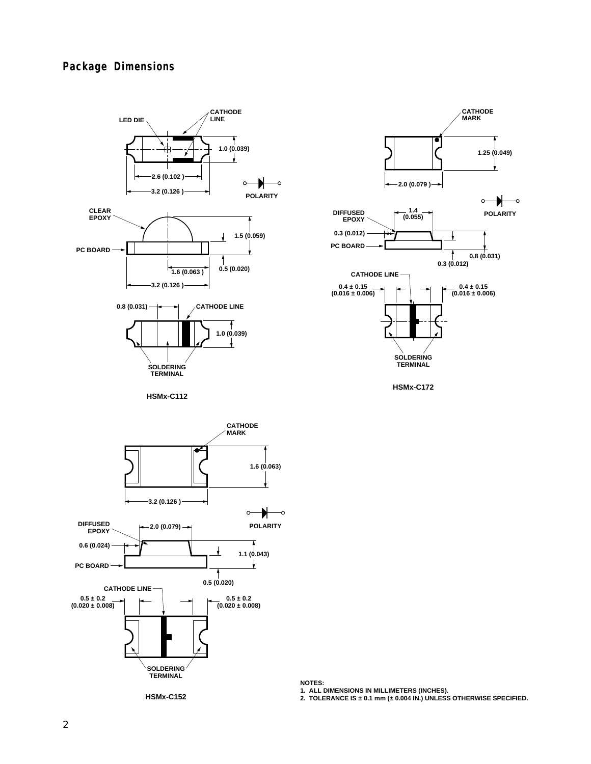### **Package Dimensions**





**HSMx-C112**



**HSMx-C152**

**NOTES:**

**1. ALL DIMENSIONS IN MILLIMETERS (INCHES). 2. TOLERANCE IS ± 0.1 mm (± 0.004 IN.) UNLESS OTHERWISE SPECIFIED.**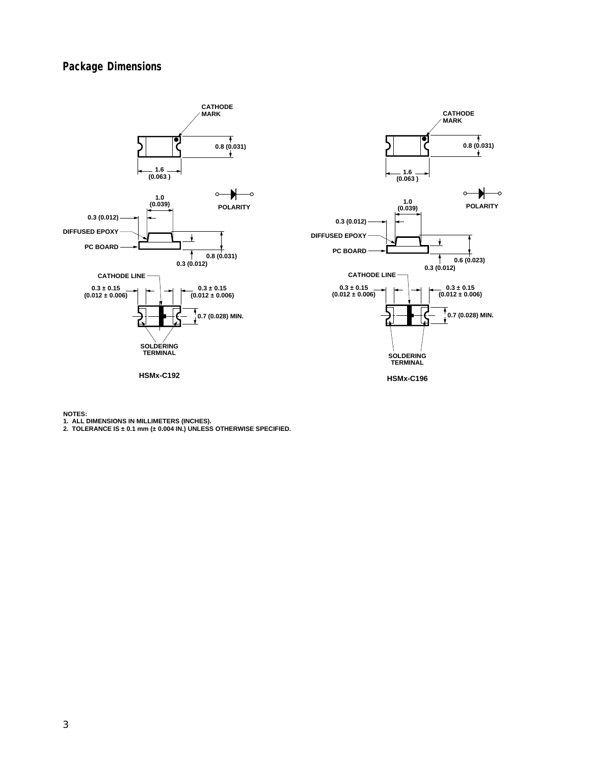### **Package Dimensions**





**NOTES:**

**1. ALL DIMENSIONS IN MILLIMETERS (INCHES). 2. TOLERANCE IS ± 0.1 mm (± 0.004 IN.) UNLESS OTHERWISE SPECIFIED.**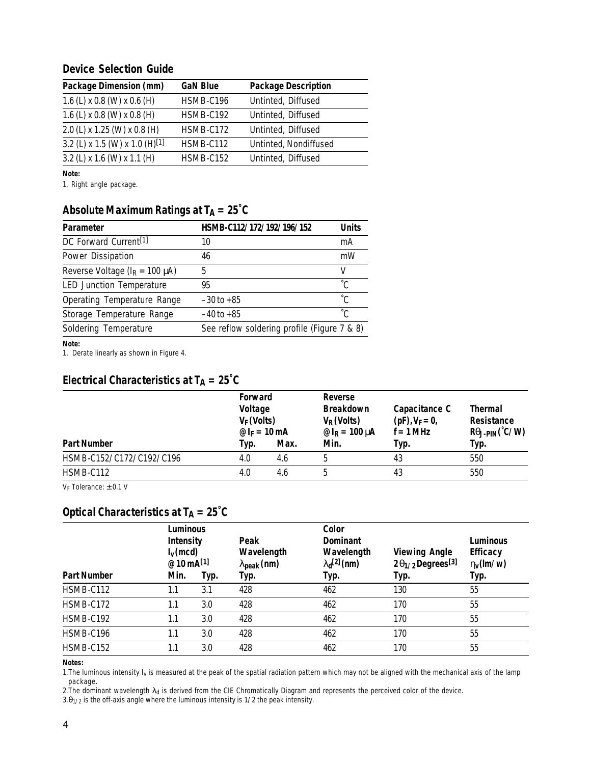#### **Device Selection Guide**

| Package Dimension (mm)                     | <b>GaN Blue</b> | <b>Package Description</b> |
|--------------------------------------------|-----------------|----------------------------|
| 1.6 (L) x 0.8 (W) x 0.6 (H)                | HSMB-C196       | Untinted, Diffused         |
| 1.6 (L) x 0.8 (W) x 0.8 (H)                | HSMB-C192       | Untinted, Diffused         |
| 2.0 (L) x 1.25 (W) x 0.8 (H)               | HSMB-C172       | Untinted, Diffused         |
| 3.2 (L) x 1.5 (W) x 1.0 (H) <sup>[1]</sup> | HSMB-C112       | Untinted, Nondiffused      |
| 3.2 (L) x 1.6 (W) x 1.1 (H)                | HSMB-C152       | Untinted, Diffused         |

**Note:**

1. Right angle package.

### Absolute Maximum Ratings at  $T_A = 25^\circ C$

| Parameter                             | HSMB-C112/172/192/196/152                   | <b>Units</b> |
|---------------------------------------|---------------------------------------------|--------------|
| DC Forward Current <sup>[1]</sup>     | 10                                          | mA           |
| Power Dissipation                     | 46                                          | mW           |
| Reverse Voltage ( $I_R = 100 \mu A$ ) | 5                                           | v            |
| <b>LED Junction Temperature</b>       | 95                                          |              |
| Operating Temperature Range           | $-30$ to $+85$                              | °C.          |
| Storage Temperature Range             | $-40$ to $+85$                              | °C.          |
| Soldering Temperature                 | See reflow soldering profile (Figure 7 & 8) |              |

**Note:**

1. Derate linearly as shown in Figure 4.

### **Electrical Characteristics at T<sub>A</sub> = 25°C**

|                          | Forward<br>Voltage<br>$V_F$ (Volts)<br>@ $I_F = 10$ mA |      | Reverse<br><b>Breakdown</b><br>$V_R$ (Volts)<br><i>®</i> $IR = 100 μA$ | Capacitance C<br>$(pF)$ , $V_F = 0$ ,<br>$f = 1$ MHz | Thermal<br>Resistance<br>$R\theta$ J-PIN $(°C/W)$ |
|--------------------------|--------------------------------------------------------|------|------------------------------------------------------------------------|------------------------------------------------------|---------------------------------------------------|
| <b>Part Number</b>       | Typ.                                                   | Max. | Min.                                                                   | Typ.                                                 | Typ.                                              |
| HSMB-C152/C172/C192/C196 | 4.0                                                    | 4.6  |                                                                        | 43                                                   | 550                                               |
| HSMB-C112                | 4.0                                                    | 4.6  | b                                                                      | 43                                                   | 550                                               |

VF Tolerance: ± 0.1 V

## **Optical Characteristics at TA = 25°C**

| <b>Part Number</b> | Luminous<br>Intensity<br>$I_{V}$ (mcd)<br>@ 10 $mA^{[1]}$<br>Min. | Typ. | Peak<br>Wavelength<br>$\lambda_{\rm peak}$ (nm)<br>Typ. | Color<br><b>Dominant</b><br>Wavelength<br>$\lambda_{d}^{[2]}$ (nm)<br>Typ. | <b>Viewing Angle</b><br>$2\theta_{1/2}$ Degrees <sup>[3]</sup><br>Typ. | Luminous<br><b>Efficacy</b><br>$\eta_v(\text{Im}/w)$<br>Typ. |
|--------------------|-------------------------------------------------------------------|------|---------------------------------------------------------|----------------------------------------------------------------------------|------------------------------------------------------------------------|--------------------------------------------------------------|
| HSMB-C112          | 1.1                                                               | 3.1  | 428                                                     | 462                                                                        | 130                                                                    | 55                                                           |
| HSMB-C172          | 1.1                                                               | 3.0  | 428                                                     | 462                                                                        | 170                                                                    | 55                                                           |
| HSMB-C192          | 1.1                                                               | 3.0  | 428                                                     | 462                                                                        | 170                                                                    | 55                                                           |
| HSMB-C196          | 1.1                                                               | 3.0  | 428                                                     | 462                                                                        | 170                                                                    | 55                                                           |
| HSMB-C152          | 1.1                                                               | 3.0  | 428                                                     | 462                                                                        | 170                                                                    | 55                                                           |

**Notes:**

1. The luminous intensity  $I_v$  is measured at the peak of the spatial radiation pattern which may not be aligned with the mechanical axis of the lamp package.

2. The dominant wavelength  $\lambda_d$  is derived from the CIE Chromatically Diagram and represents the perceived color of the device.

 $3. \theta_{1/2}$  is the off-axis angle where the luminous intensity is 1/2 the peak intensity.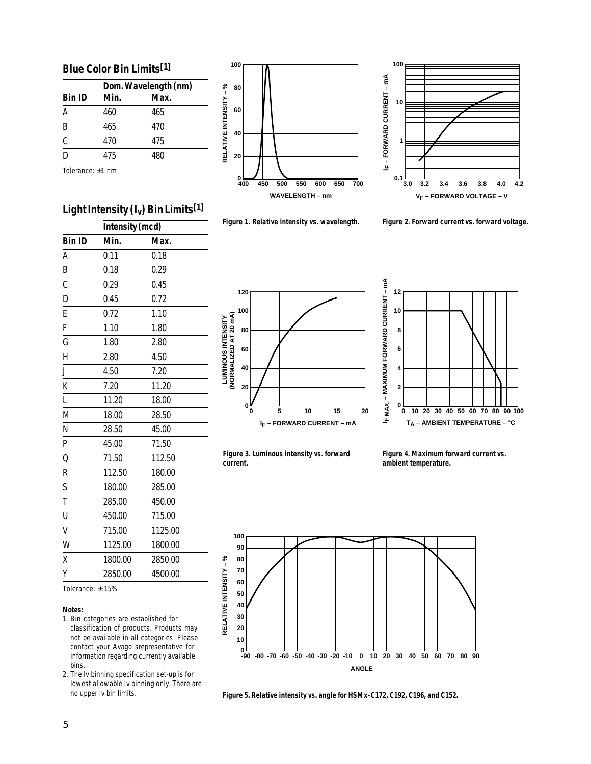#### **Blue Color Bin Limits[1]**

|                           | Dom. Wavelength (nm) |      |  |
|---------------------------|----------------------|------|--|
| <b>Bin ID</b>             | Min.                 | Max. |  |
| А                         | 460                  | 465  |  |
| B                         | 465                  | 470  |  |
| $\overline{\overline{c}}$ | 470                  | 475  |  |
| D                         | 475                  | 480  |  |
| Tolerance: $\pm 1$ nm     |                      |      |  |

Light Intensity (L ) Rin Limits<sup>[1]</sup>





**Figure 1. Relative intensity vs. wavelength. Figure 2. Forward current vs. forward voltage.**

| Intensity (mcd)                                                                               |              |         |  |  |
|-----------------------------------------------------------------------------------------------|--------------|---------|--|--|
| <b>Bin ID</b>                                                                                 | Min.         | Max.    |  |  |
| A                                                                                             | 0.11         | 0.18    |  |  |
| B                                                                                             | 0.18         | 0.29    |  |  |
| $\overline{C}$                                                                                | 0.29         | 0.45    |  |  |
| $\overline{D}$                                                                                | 0.45         | 0.72    |  |  |
| E                                                                                             | 0.72         | 1.10    |  |  |
| $\overline{F}$                                                                                | 1.10         | 1.80    |  |  |
| G                                                                                             | 1.80         | 2.80    |  |  |
| $\overline{H}$                                                                                | 2.80         | 4.50    |  |  |
| J                                                                                             | 7.20<br>4.50 |         |  |  |
| K                                                                                             | 7.20         | 11.20   |  |  |
| $\mathsf{L}% _{0}\left( \mathsf{L}_{1}\right) ^{2}\mathsf{L}_{1}\left( \mathsf{L}_{2}\right)$ | 11.20        | 18.00   |  |  |
| M                                                                                             | 18.00        | 28.50   |  |  |
| N                                                                                             | 28.50        | 45.00   |  |  |
| $\overline{P}$                                                                                | 45.00        | 71.50   |  |  |
| $\overline{Q}$                                                                                | 71.50        | 112.50  |  |  |
| $\overline{\mathsf{R}}$                                                                       | 112.50       | 180.00  |  |  |
| $\mathsf{S}$                                                                                  | 180.00       | 285.00  |  |  |
| $\bar{t}$                                                                                     | 285.00       | 450.00  |  |  |
| $\overline{U}$                                                                                | 450.00       | 715.00  |  |  |
| $\overline{\mathsf{v}}$                                                                       | 715.00       | 1125.00 |  |  |
| W                                                                                             | 1125.00      | 1800.00 |  |  |
| X                                                                                             | 1800.00      | 2850.00 |  |  |
| Y                                                                                             | 2850.00      | 4500.00 |  |  |
| Tolerance: $\pm$ 15%                                                                          |              |         |  |  |





**Figure 3. Luminous intensity vs. forward current.**

**Figure 4. Maximum forward current vs. ambient temperature.**





#### **Notes:**

- 1. Bin categories are established for classification of products. Products may not be available in all categories. Please contact your Avago srepresentative for information regarding currently available bins.
- 2. The Iv binning specification set-up is for lowest allowable Iv binning only. There are no upper Iv bin limits.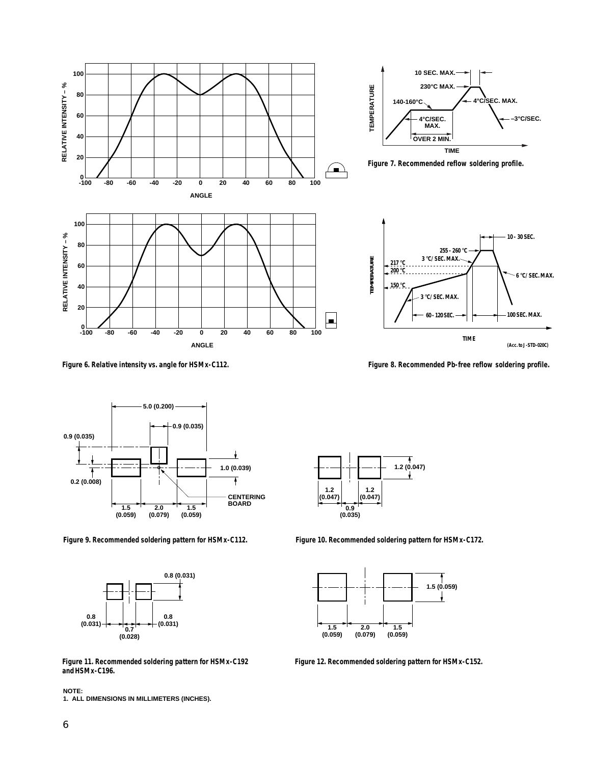







**Figure 6. Relative intensity vs. angle for HSMx-C112. Figure 8. Recommended Pb-free reflow soldering profile.**







**1.2 (0.047) 1.2 (0.047) 0.9 (0.035) 1.2 (0.047)**

**Figure 9. Recommended soldering pattern for HSMx-C112. Figure 10. Recommended soldering pattern for HSMx-C172.**



**Figure 12. Recommended soldering pattern for HSMx-C152.**

**Figure 11. Recommended soldering pattern for HSMx-C192 and HSMx-C196.**

**NOTE: 1. ALL DIMENSIONS IN MILLIMETERS (INCHES).**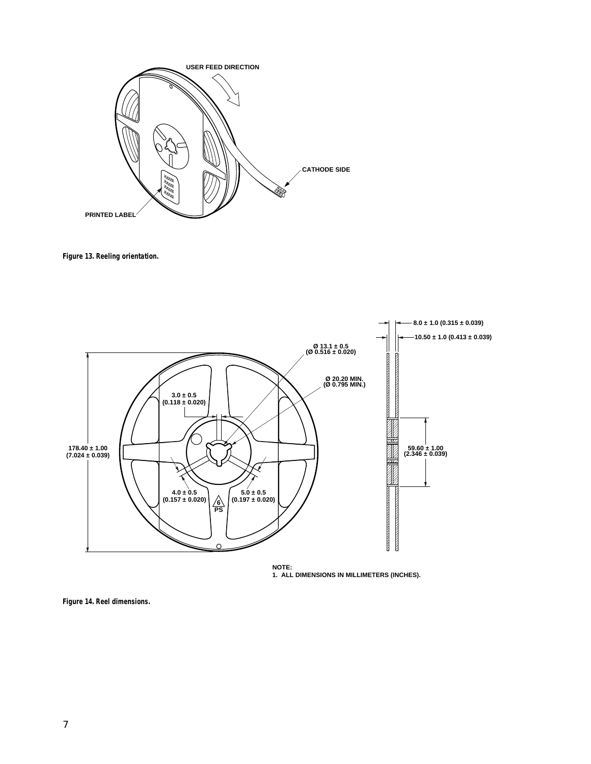

**Figure 13. Reeling orientation.**



**NOTE: 1. ALL DIMENSIONS IN MILLIMETERS (INCHES).**

**Figure 14. Reel dimensions.**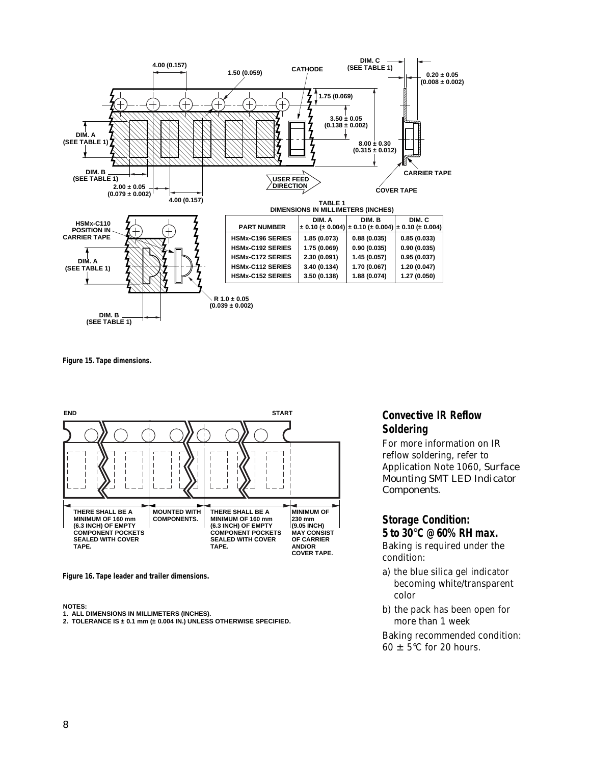

**Figure 15. Tape dimensions.**



**Figure 16. Tape leader and trailer dimensions.**

#### **NOTES:**

- **1. ALL DIMENSIONS IN MILLIMETERS (INCHES).**
- **2. TOLERANCE IS ± 0.1 mm (± 0.004 IN.) UNLESS OTHERWISE SPECIFIED.**

### **Convective IR Reflow Soldering**

For more information on IR reflow soldering, refer to Application Note 1060, *Surface Mounting SMT LED Indicator Components*.

### **Storage Condition: 5 to 30**°**C @ 60% RH max.**

Baking is required under the condition:

- a) the blue silica gel indicator becoming white/transparent color
- b) the pack has been open for more than 1 week

Baking recommended condition:  $60 \pm 5^{\circ}$ C for 20 hours.